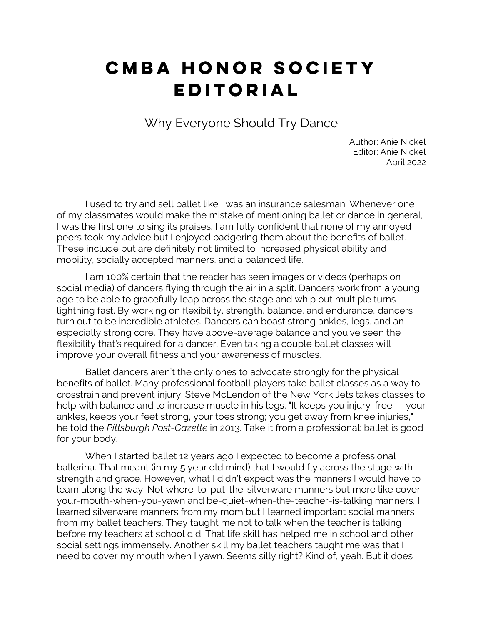## **CMBA HONOR SOCIETY EDITORIAL**

Why Everyone Should Try Dance

Author: Anie Nickel Editor: Anie Nickel April 2022

I used to try and sell ballet like I was an insurance salesman. Whenever one of my classmates would make the mistake of mentioning ballet or dance in general, I was the first one to sing its praises. I am fully confident that none of my annoyed peers took my advice but I enjoyed badgering them about the benefits of ballet. These include but are definitely not limited to increased physical ability and mobility, socially accepted manners, and a balanced life.

I am 100% certain that the reader has seen images or videos (perhaps on social media) of dancers flying through the air in a split. Dancers work from a young age to be able to gracefully leap across the stage and whip out multiple turns lightning fast. By working on flexibility, strength, balance, and endurance, dancers turn out to be incredible athletes. Dancers can boast strong ankles, legs, and an especially strong core. They have above-average balance and you've seen the flexibility that's required for a dancer. Even taking a couple ballet classes will improve your overall fitness and your awareness of muscles.

Ballet dancers aren't the only ones to advocate strongly for the physical benefits of ballet. Many professional football players take ballet classes as a way to crosstrain and prevent injury. Steve McLendon of the New York Jets takes classes to help with balance and to increase muscle in his legs. "It keeps you injury-free — your ankles, keeps your feet strong, your toes strong; you get away from knee injuries," he told the *Pittsburgh Post-Gazette* in 2013. Take it from a professional: ballet is good for your body.

When I started ballet 12 years ago I expected to become a professional ballerina. That meant (in my 5 year old mind) that I would fly across the stage with strength and grace. However, what I didn't expect was the manners I would have to learn along the way. Not where-to-put-the-silverware manners but more like coveryour-mouth-when-you-yawn and be-quiet-when-the-teacher-is-talking manners. I learned silverware manners from my mom but I learned important social manners from my ballet teachers. They taught me not to talk when the teacher is talking before my teachers at school did. That life skill has helped me in school and other social settings immensely. Another skill my ballet teachers taught me was that I need to cover my mouth when I yawn. Seems silly right? Kind of, yeah. But it does